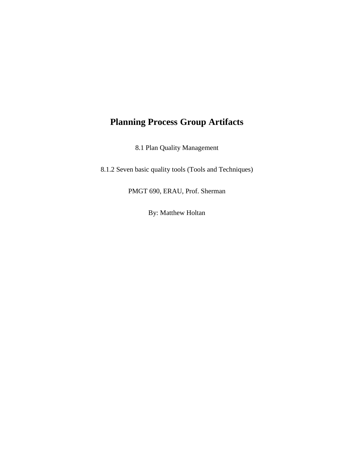# **Planning Process Group Artifacts**

8.1 Plan Quality Management

8.1.2 Seven basic quality tools (Tools and Techniques)

PMGT 690, ERAU, Prof. Sherman

By: Matthew Holtan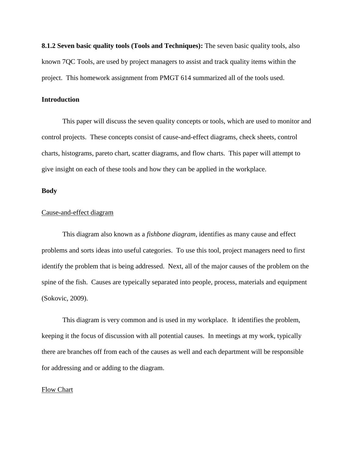**8.1.2 Seven basic quality tools (Tools and Techniques):** The seven basic quality tools, also known 7QC Tools, are used by project managers to assist and track quality items within the project. This homework assignment from PMGT 614 summarized all of the tools used.

## **Introduction**

This paper will discuss the seven quality concepts or tools, which are used to monitor and control projects. These concepts consist of cause-and-effect diagrams, check sheets, control charts, histograms, pareto chart, scatter diagrams, and flow charts. This paper will attempt to give insight on each of these tools and how they can be applied in the workplace.

## **Body**

#### Cause-and-effect diagram

This diagram also known as a *fishbone diagram*, identifies as many cause and effect problems and sorts ideas into useful categories. To use this tool, project managers need to first identify the problem that is being addressed. Next, all of the major causes of the problem on the spine of the fish. Causes are typeically separated into people, process, materials and equipment (Sokovic, 2009).

This diagram is very common and is used in my workplace. It identifies the problem, keeping it the focus of discussion with all potential causes. In meetings at my work, typically there are branches off from each of the causes as well and each department will be responsible for addressing and or adding to the diagram.

## Flow Chart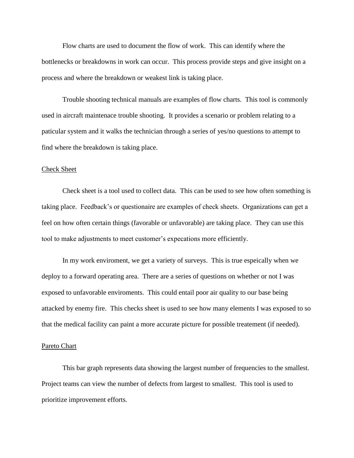Flow charts are used to document the flow of work. This can identify where the bottlenecks or breakdowns in work can occur. This process provide steps and give insight on a process and where the breakdown or weakest link is taking place.

Trouble shooting technical manuals are examples of flow charts. This tool is commonly used in aircraft maintenace trouble shooting. It provides a scenario or problem relating to a paticular system and it walks the technician through a series of yes/no questions to attempt to find where the breakdown is taking place.

## Check Sheet

Check sheet is a tool used to collect data. This can be used to see how often something is taking place. Feedback's or questionaire are examples of check sheets. Organizations can get a feel on how often certain things (favorable or unfavorable) are taking place. They can use this tool to make adjustments to meet customer's expecations more efficiently.

In my work enviroment, we get a variety of surveys. This is true espeically when we deploy to a forward operating area. There are a series of questions on whether or not I was exposed to unfavorable enviroments. This could entail poor air quality to our base being attacked by enemy fire. This checks sheet is used to see how many elements I was exposed to so that the medical facility can paint a more accurate picture for possible treatement (if needed).

#### Pareto Chart

This bar graph represents data showing the largest number of frequencies to the smallest. Project teams can view the number of defects from largest to smallest. This tool is used to prioritize improvement efforts.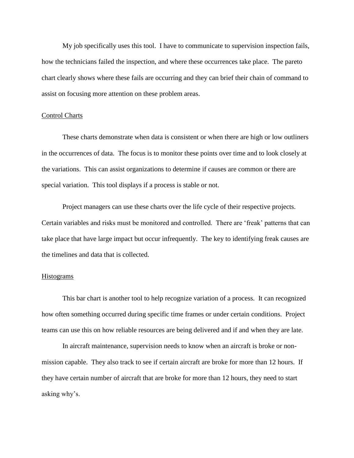My job specifically uses this tool. I have to communicate to supervision inspection fails, how the technicians failed the inspection, and where these occurrences take place. The pareto chart clearly shows where these fails are occurring and they can brief their chain of command to assist on focusing more attention on these problem areas.

## Control Charts

These charts demonstrate when data is consistent or when there are high or low outliners in the occurrences of data. The focus is to monitor these points over time and to look closely at the variations. This can assist organizations to determine if causes are common or there are special variation. This tool displays if a process is stable or not.

Project managers can use these charts over the life cycle of their respective projects. Certain variables and risks must be monitored and controlled. There are 'freak' patterns that can take place that have large impact but occur infrequently. The key to identifying freak causes are the timelines and data that is collected.

### **Histograms**

This bar chart is another tool to help recognize variation of a process. It can recognized how often something occurred during specific time frames or under certain conditions. Project teams can use this on how reliable resources are being delivered and if and when they are late.

In aircraft maintenance, supervision needs to know when an aircraft is broke or nonmission capable. They also track to see if certain aircraft are broke for more than 12 hours. If they have certain number of aircraft that are broke for more than 12 hours, they need to start asking why's.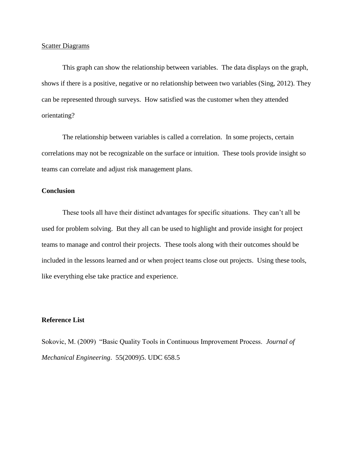## **Scatter Diagrams**

This graph can show the relationship between variables. The data displays on the graph, shows if there is a positive, negative or no relationship between two variables (Sing, 2012). They can be represented through surveys. How satisfied was the customer when they attended orientating?

The relationship between variables is called a correlation. In some projects, certain correlations may not be recognizable on the surface or intuition. These tools provide insight so teams can correlate and adjust risk management plans.

## **Conclusion**

These tools all have their distinct advantages for specific situations. They can't all be used for problem solving. But they all can be used to highlight and provide insight for project teams to manage and control their projects. These tools along with their outcomes should be included in the lessons learned and or when project teams close out projects. Using these tools, like everything else take practice and experience.

# **Reference List**

Sokovic, M. (2009) "Basic Quality Tools in Continuous Improvement Process. *Journal of Mechanical Engineering*. 55(2009)5. UDC 658.5